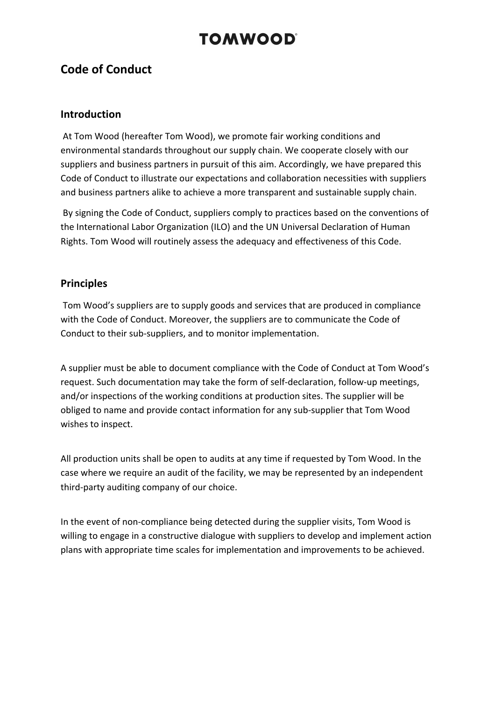## **Code of Conduct**

### **Introduction**

At Tom Wood (hereafter Tom Wood), we promote fair working conditions and environmental standards throughout our supply chain. We cooperate closely with our suppliers and business partners in pursuit of this aim. Accordingly, we have prepared this Code of Conduct to illustrate our expectations and collaboration necessities with suppliers and business partners alike to achieve a more transparent and sustainable supply chain.

By signing the Code of Conduct, suppliers comply to practices based on the conventions of the International Labor Organization (ILO) and the UN Universal Declaration of Human Rights. Tom Wood will routinely assess the adequacy and effectiveness of this Code.

### **Principles**

Tom Wood's suppliers are to supply goods and services that are produced in compliance with the Code of Conduct. Moreover, the suppliers are to communicate the Code of Conduct to their sub-suppliers, and to monitor implementation.

A supplier must be able to document compliance with the Code of Conduct at Tom Wood's request. Such documentation may take the form of self-declaration, follow-up meetings, and/or inspections of the working conditions at production sites. The supplier will be obliged to name and provide contact information for any sub-supplier that Tom Wood wishes to inspect.

All production units shall be open to audits at any time if requested by Tom Wood. In the case where we require an audit of the facility, we may be represented by an independent third-party auditing company of our choice.

In the event of non-compliance being detected during the supplier visits, Tom Wood is willing to engage in a constructive dialogue with suppliers to develop and implement action plans with appropriate time scales for implementation and improvements to be achieved.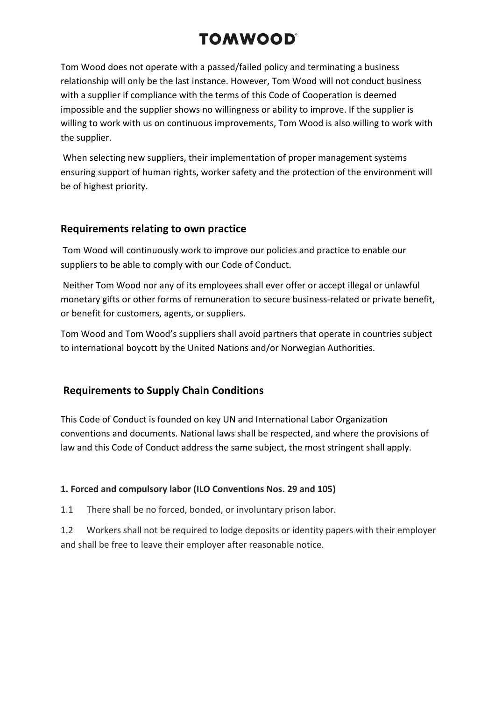Tom Wood does not operate with a passed/failed policy and terminating a business relationship will only be the last instance. However, Tom Wood will not conduct business with a supplier if compliance with the terms of this Code of Cooperation is deemed impossible and the supplier shows no willingness or ability to improve. If the supplier is willing to work with us on continuous improvements, Tom Wood is also willing to work with the supplier.

When selecting new suppliers, their implementation of proper management systems ensuring support of human rights, worker safety and the protection of the environment will be of highest priority.

### **Requirements relating to own practice**

Tom Wood will continuously work to improve our policies and practice to enable our suppliers to be able to comply with our Code of Conduct.

Neither Tom Wood nor any of its employees shall ever offer or accept illegal or unlawful monetary gifts or other forms of remuneration to secure business-related or private benefit, or benefit for customers, agents, or suppliers.

Tom Wood and Tom Wood's suppliers shall avoid partners that operate in countries subject to international boycott by the United Nations and/or Norwegian Authorities.

## **Requirements to Supply Chain Conditions**

This Code of Conduct is founded on key UN and International Labor Organization conventions and documents. National laws shall be respected, and where the provisions of law and this Code of Conduct address the same subject, the most stringent shall apply.

### **1. Forced and compulsory labor (ILO Conventions Nos. 29 and 105)**

1.1 There shall be no forced, bonded, or involuntary prison labor.

1.2 Workers shall not be required to lodge deposits or identity papers with their employer and shall be free to leave their employer after reasonable notice.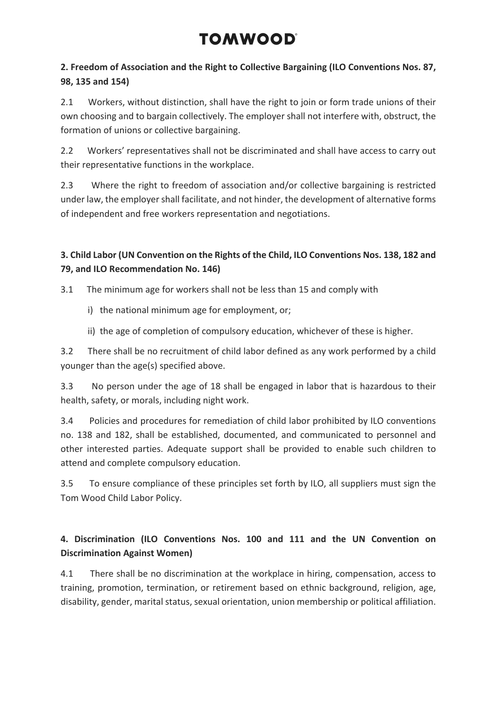## **2. Freedom of Association and the Right to Collective Bargaining (ILO Conventions Nos. 87, 98, 135 and 154)**

2.1 Workers, without distinction, shall have the right to join or form trade unions of their own choosing and to bargain collectively. The employer shall not interfere with, obstruct, the formation of unions or collective bargaining.

2.2 Workers' representatives shall not be discriminated and shall have access to carry out their representative functions in the workplace.

2.3 Where the right to freedom of association and/or collective bargaining is restricted under law, the employer shall facilitate, and not hinder, the development of alternative forms of independent and free workers representation and negotiations.

## **3. Child Labor (UN Convention on the Rights of the Child, ILO Conventions Nos. 138, 182 and 79, and ILO Recommendation No. 146)**

3.1 The minimum age for workers shall not be less than 15 and comply with

- i) the national minimum age for employment, or;
- ii) the age of completion of compulsory education, whichever of these is higher.

3.2 There shall be no recruitment of child labor defined as any work performed by a child younger than the age(s) specified above.

3.3 No person under the age of 18 shall be engaged in labor that is hazardous to their health, safety, or morals, including night work.

3.4 Policies and procedures for remediation of child labor prohibited by ILO conventions no. 138 and 182, shall be established, documented, and communicated to personnel and other interested parties. Adequate support shall be provided to enable such children to attend and complete compulsory education.

3.5 To ensure compliance of these principles set forth by ILO, all suppliers must sign the Tom Wood Child Labor Policy.

## **4. Discrimination (ILO Conventions Nos. 100 and 111 and the UN Convention on Discrimination Against Women)**

4.1 There shall be no discrimination at the workplace in hiring, compensation, access to training, promotion, termination, or retirement based on ethnic background, religion, age, disability, gender, marital status, sexual orientation, union membership or political affiliation.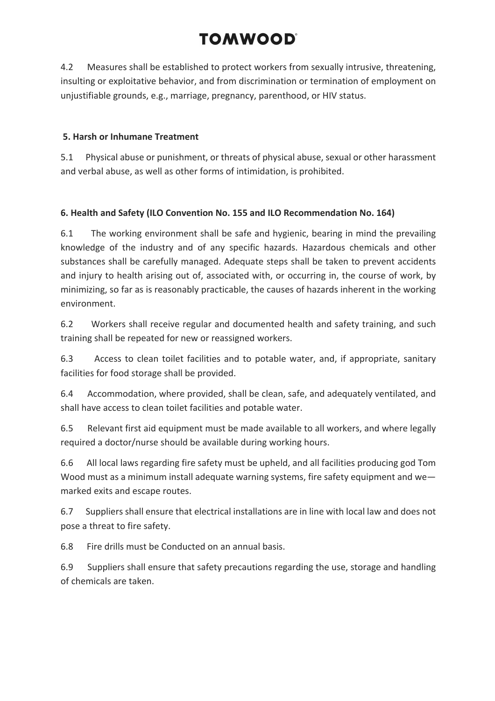4.2 Measures shall be established to protect workers from sexually intrusive, threatening, insulting or exploitative behavior, and from discrimination or termination of employment on unjustifiable grounds, e.g., marriage, pregnancy, parenthood, or HIV status.

### **5. Harsh or Inhumane Treatment**

5.1 Physical abuse or punishment, or threats of physical abuse, sexual or other harassment and verbal abuse, as well as other forms of intimidation, is prohibited.

### **6. Health and Safety (ILO Convention No. 155 and ILO Recommendation No. 164)**

6.1 The working environment shall be safe and hygienic, bearing in mind the prevailing knowledge of the industry and of any specific hazards. Hazardous chemicals and other substances shall be carefully managed. Adequate steps shall be taken to prevent accidents and injury to health arising out of, associated with, or occurring in, the course of work, by minimizing, so far as is reasonably practicable, the causes of hazards inherent in the working environment.

6.2 Workers shall receive regular and documented health and safety training, and such training shall be repeated for new or reassigned workers.

6.3 Access to clean toilet facilities and to potable water, and, if appropriate, sanitary facilities for food storage shall be provided.

6.4 Accommodation, where provided, shall be clean, safe, and adequately ventilated, and shall have access to clean toilet facilities and potable water.

6.5 Relevant first aid equipment must be made available to all workers, and where legally required a doctor/nurse should be available during working hours.

6.6 All local laws regarding fire safety must be upheld, and all facilities producing god Tom Wood must as a minimum install adequate warning systems, fire safety equipment and we marked exits and escape routes.

6.7 Suppliers shall ensure that electrical installations are in line with local law and does not pose a threat to fire safety.

6.8 Fire drills must be Conducted on an annual basis.

6.9 Suppliers shall ensure that safety precautions regarding the use, storage and handling of chemicals are taken.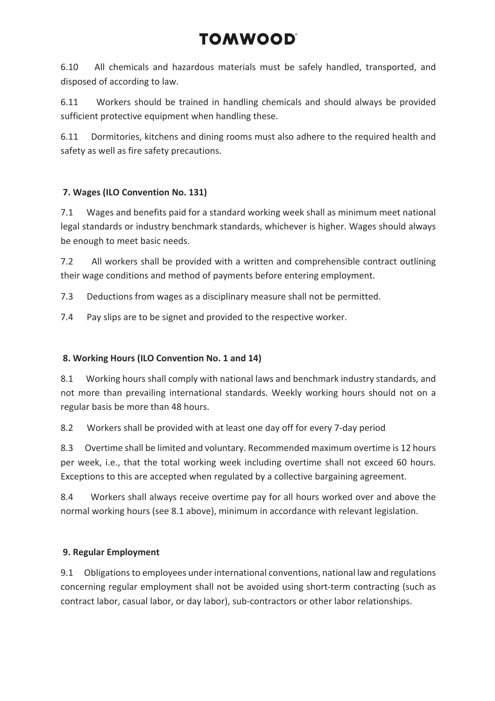6.10 All chemicals and hazardous materials must be safely handled, transported, and disposed of according to law.

6.11 Workers should be trained in handling chemicals and should always be provided sufficient protective equipment when handling these.

6.11 Dormitories, kitchens and dining rooms must also adhere to the required health and safety as well as fire safety precautions.

### **7. Wages (ILO Convention No. 131)**

7.1 Wages and benefits paid for a standard working week shall as minimum meet national legal standards or industry benchmark standards, whichever is higher. Wages should always be enough to meet basic needs.

7.2 All workers shall be provided with a written and comprehensible contract outlining their wage conditions and method of payments before entering employment.

7.3 Deductions from wages as a disciplinary measure shall not be permitted.

7.4 Pay slips are to be signet and provided to the respective worker.

### **8. Working Hours (ILO Convention No. 1 and 14)**

8.1 Working hours shall comply with national laws and benchmark industry standards, and not more than prevailing international standards. Weekly working hours should not on a regular basis be more than 48 hours.

8.2 Workers shall be provided with at least one day off for every 7-day period

8.3 Overtime shall be limited and voluntary. Recommended maximum overtime is 12 hours per week, i.e., that the total working week including overtime shall not exceed 60 hours. Exceptions to this are accepted when regulated by a collective bargaining agreement.

8.4 Workers shall always receive overtime pay for all hours worked over and above the normal working hours (see 8.1 above), minimum in accordance with relevant legislation.

## **9. Regular Employment**

9.1 Obligations to employees under international conventions, national law and regulations concerning regular employment shall not be avoided using short-term contracting (such as contract labor, casual labor, or day labor), sub-contractors or other labor relationships.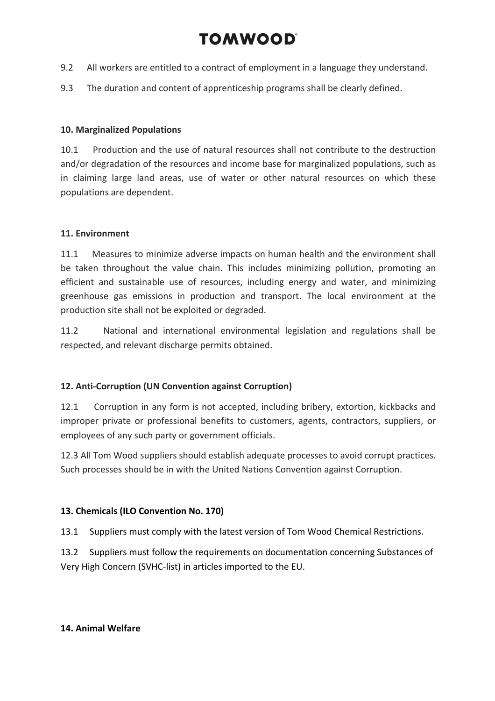- 9.2 All workers are entitled to a contract of employment in a language they understand.
- 9.3 The duration and content of apprenticeship programs shall be clearly defined.

### **10. Marginalized Populations**

10.1 Production and the use of natural resources shall not contribute to the destruction and/or degradation of the resources and income base for marginalized populations, such as in claiming large land areas, use of water or other natural resources on which these populations are dependent.

### **11. Environment**

11.1 Measures to minimize adverse impacts on human health and the environment shall be taken throughout the value chain. This includes minimizing pollution, promoting an efficient and sustainable use of resources, including energy and water, and minimizing greenhouse gas emissions in production and transport. The local environment at the production site shall not be exploited or degraded.

11.2 National and international environmental legislation and regulations shall be respected, and relevant discharge permits obtained.

### **12. Anti-Corruption (UN Convention against Corruption)**

12.1 Corruption in any form is not accepted, including bribery, extortion, kickbacks and improper private or professional benefits to customers, agents, contractors, suppliers, or employees of any such party or government officials.

12.3 All Tom Wood suppliers should establish adequate processes to avoid corrupt practices. Such processes should be in with the United Nations Convention against Corruption.

### **13. Chemicals (ILO Convention No. 170)**

13.1 Suppliers must comply with the latest version of Tom Wood Chemical Restrictions.

13.2 Suppliers must follow the requirements on documentation concerning Substances of Very High Concern (SVHC-list) in articles imported to the EU.

### **14. Animal Welfare**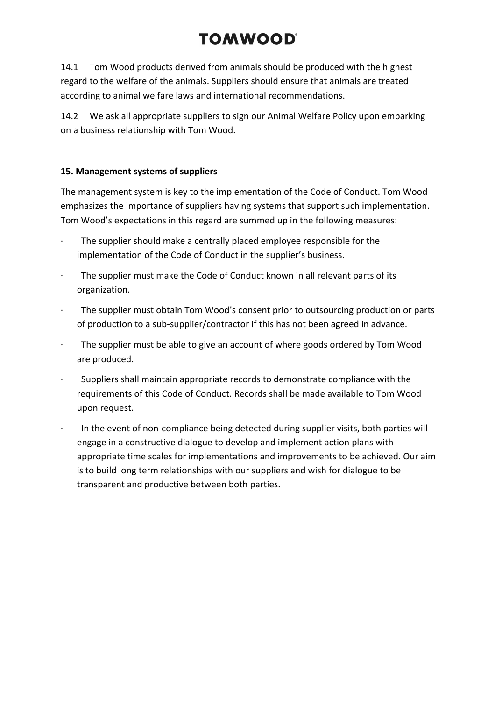14.1 Tom Wood products derived from animals should be produced with the highest regard to the welfare of the animals. Suppliers should ensure that animals are treated according to animal welfare laws and international recommendations.

14.2 We ask all appropriate suppliers to sign our Animal Welfare Policy upon embarking on a business relationship with Tom Wood.

### **15. Management systems of suppliers**

The management system is key to the implementation of the Code of Conduct. Tom Wood emphasizes the importance of suppliers having systems that support such implementation. Tom Wood's expectations in this regard are summed up in the following measures:

- The supplier should make a centrally placed employee responsible for the implementation of the Code of Conduct in the supplier's business.
- · The supplier must make the Code of Conduct known in all relevant parts of its organization.
- · The supplier must obtain Tom Wood's consent prior to outsourcing production or parts of production to a sub-supplier/contractor if this has not been agreed in advance.
- The supplier must be able to give an account of where goods ordered by Tom Wood are produced.
- · Suppliers shall maintain appropriate records to demonstrate compliance with the requirements of this Code of Conduct. Records shall be made available to Tom Wood upon request.
- · In the event of non-compliance being detected during supplier visits, both parties will engage in a constructive dialogue to develop and implement action plans with appropriate time scales for implementations and improvements to be achieved. Our aim is to build long term relationships with our suppliers and wish for dialogue to be transparent and productive between both parties.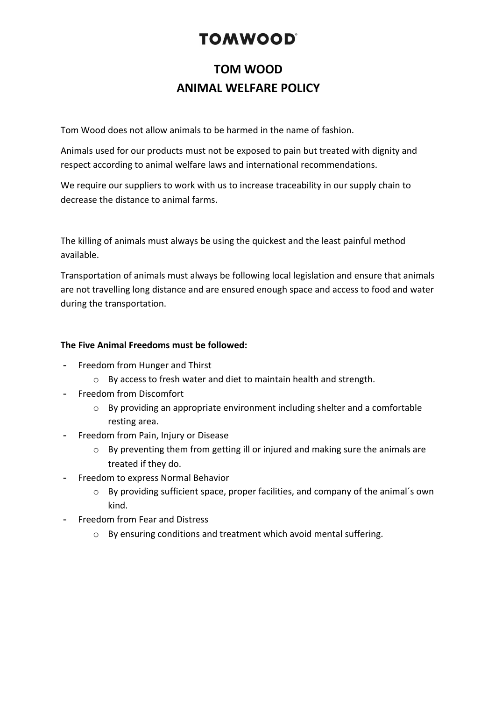## **TOM WOOD ANIMAL WELFARE POLICY**

Tom Wood does not allow animals to be harmed in the name of fashion.

Animals used for our products must not be exposed to pain but treated with dignity and respect according to animal welfare laws and international recommendations.

We require our suppliers to work with us to increase traceability in our supply chain to decrease the distance to animal farms.

The killing of animals must always be using the quickest and the least painful method available.

Transportation of animals must always be following local legislation and ensure that animals are not travelling long distance and are ensured enough space and access to food and water during the transportation.

### **The Five Animal Freedoms must be followed:**

- Freedom from Hunger and Thirst
	- o By access to fresh water and diet to maintain health and strength.
- Freedom from Discomfort
	- o By providing an appropriate environment including shelter and a comfortable resting area.
- Freedom from Pain, Injury or Disease
	- o By preventing them from getting ill or injured and making sure the animals are treated if they do.
- Freedom to express Normal Behavior
	- o By providing sufficient space, proper facilities, and company of the animal´s own kind.
- Freedom from Fear and Distress
	- o By ensuring conditions and treatment which avoid mental suffering.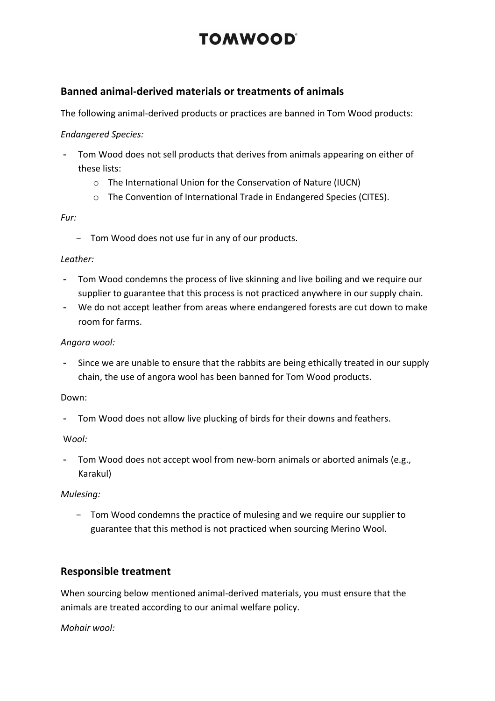### **Banned animal-derived materials or treatments of animals**

The following animal-derived products or practices are banned in Tom Wood products:

### *Endangered Species:*

- Tom Wood does not sell products that derives from animals appearing on either of these lists:
	- o The International Union for the Conservation of Nature (IUCN)
	- o The Convention of International Trade in Endangered Species (CITES).

### *Fur:*

- Tom Wood does not use fur in any of our products.

### *Leather:*

- Tom Wood condemns the process of live skinning and live boiling and we require our supplier to guarantee that this process is not practiced anywhere in our supply chain.
- We do not accept leather from areas where endangered forests are cut down to make room for farms.

### *Angora wool:*

Since we are unable to ensure that the rabbits are being ethically treated in our supply chain, the use of angora wool has been banned for Tom Wood products.

### Down:

- Tom Wood does not allow live plucking of birds for their downs and feathers.

### W*ool:*

- Tom Wood does not accept wool from new-born animals or aborted animals (e.g., Karakul)

### *Mulesing:*

- Tom Wood condemns the practice of mulesing and we require our supplier to guarantee that this method is not practiced when sourcing Merino Wool.

### **Responsible treatment**

When sourcing below mentioned animal-derived materials, you must ensure that the animals are treated according to our animal welfare policy.

*Mohair wool:*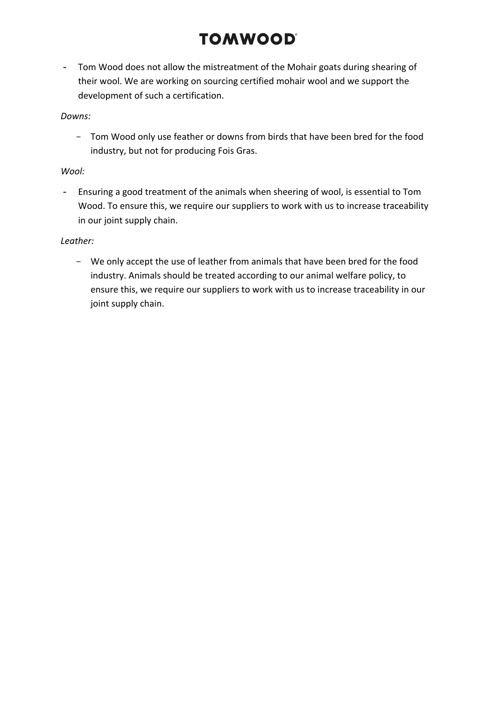- Tom Wood does not allow the mistreatment of the Mohair goats during shearing of their wool. We are working on sourcing certified mohair wool and we support the development of such a certification.

### *Downs:*

- Tom Wood only use feather or downs from birds that have been bred for the food industry, but not for producing Fois Gras.

### *Wool:*

- Ensuring a good treatment of the animals when sheering of wool, is essential to Tom Wood. To ensure this, we require our suppliers to work with us to increase traceability in our joint supply chain.

#### *Leather:*

- We only accept the use of leather from animals that have been bred for the food industry. Animals should be treated according to our animal welfare policy, to ensure this, we require our suppliers to work with us to increase traceability in our joint supply chain.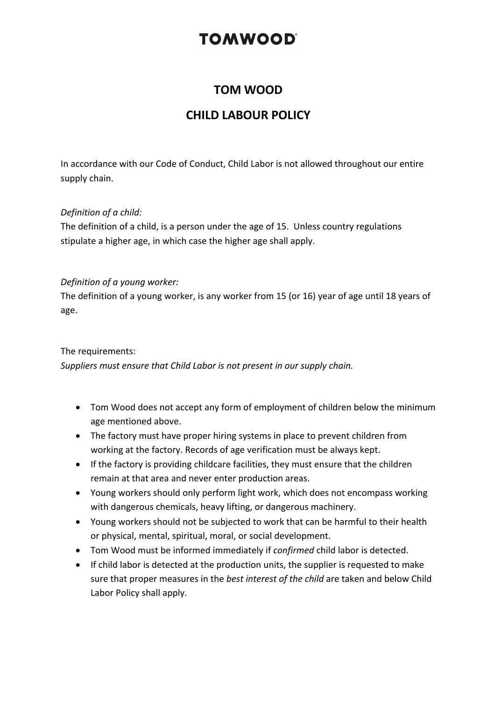## **TOM WOOD**

## **CHILD LABOUR POLICY**

In accordance with our Code of Conduct, Child Labor is not allowed throughout our entire supply chain.

### *Definition of a child:*

The definition of a child, is a person under the age of 15. Unless country regulations stipulate a higher age, in which case the higher age shall apply.

### *Definition of a young worker:*

The definition of a young worker, is any worker from 15 (or 16) year of age until 18 years of age.

### The requirements:

*Suppliers must ensure that Child Labor is not present in our supply chain.* 

- Tom Wood does not accept any form of employment of children below the minimum age mentioned above.
- The factory must have proper hiring systems in place to prevent children from working at the factory. Records of age verification must be always kept.
- If the factory is providing childcare facilities, they must ensure that the children remain at that area and never enter production areas.
- Young workers should only perform light work, which does not encompass working with dangerous chemicals, heavy lifting, or dangerous machinery.
- Young workers should not be subjected to work that can be harmful to their health or physical, mental, spiritual, moral, or social development.
- Tom Wood must be informed immediately if *confirmed* child labor is detected.
- If child labor is detected at the production units, the supplier is requested to make sure that proper measures in the *best interest of the child* are taken and below Child Labor Policy shall apply.